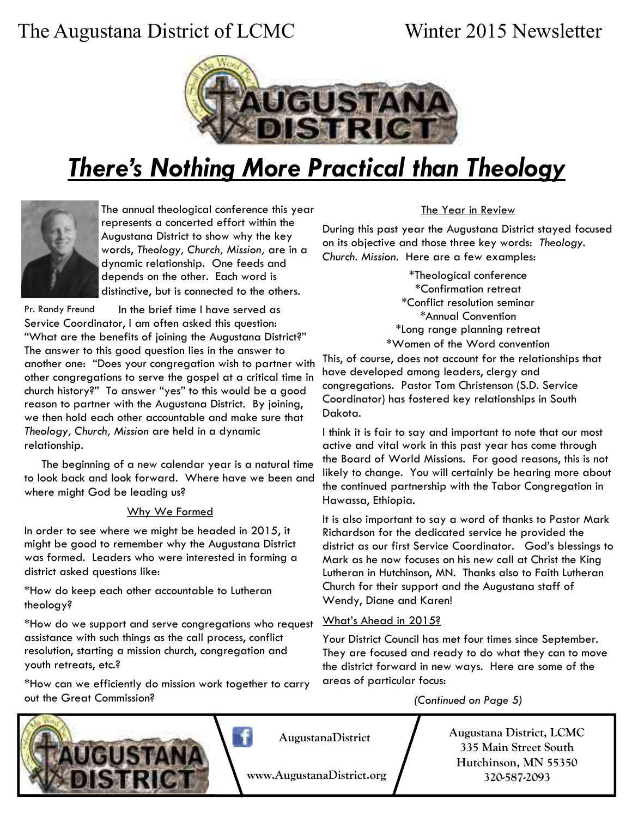# The Augustana District of LCMC Winter 2015 Newsletter



# *There's Nothing More Practical than Theology*



The annual theological conference this year represents a concerted effort within the Augustana District to show why the key words, *Theology, Church, Mission,* are in a dynamic relationship. One feeds and depends on the other. Each word is distinctive, but is connected to the others.

 In the brief time I have served as Service Coordinator, I am often asked this question: "What are the benefits of joining the Augustana District?" The answer to this good question lies in the answer to another one: "Does your congregation wish to partner with other congregations to serve the gospel at a critical time in church history?" To answer "yes" to this would be a good reason to partner with the Augustana District. By joining, we then hold each other accountable and make sure that *Theology, Church, Mission* are held in a dynamic relationship. Pr. Randy Freund

 The beginning of a new calendar year is a natural time to look back and look forward. Where have we been and where might God be leading us?

#### Why We Formed

In order to see where we might be headed in 2015, it might be good to remember why the Augustana District was formed. Leaders who were interested in forming a district asked questions like:

\*How do keep each other accountable to Lutheran theology?

\*How do we support and serve congregations who request assistance with such things as the call process, conflict resolution, starting a mission church, congregation and youth retreats, etc.?

\*How can we efficiently do mission work together to carry out the Great Commission?

#### The Year in Review

During this past year the Augustana District stayed focused on its objective and those three key words: *Theology. Church. Mission*. Here are a few examples:

> \*Theological conference \*Confirmation retreat \*Conflict resolution seminar \*Annual Convention \*Long range planning retreat \*Women of the Word convention

This, of course, does not account for the relationships that have developed among leaders, clergy and congregations. Pastor Tom Christenson (S.D. Service Coordinator) has fostered key relationships in South Dakota.

I think it is fair to say and important to note that our most active and vital work in this past year has come through the Board of World Missions. For good reasons, this is not likely to change. You will certainly be hearing more about the continued partnership with the Tabor Congregation in Hawassa, Ethiopia.

It is also important to say a word of thanks to Pastor Mark Richardson for the dedicated service he provided the district as our first Service Coordinator. God's blessings to Mark as he now focuses on his new call at Christ the King Lutheran in Hutchinson, MN. Thanks also to Faith Lutheran Church for their support and the Augustana staff of Wendy, Diane and Karen!

#### What's Ahead in 2015?

Your District Council has met four times since September. They are focused and ready to do what they can to move the district forward in new ways. Here are some of the areas of particular focus:

*(Continued on Page 5)* 



**AugustanaDistrict** 

**www.AugustanaDistrict.org** 

**Augustana District, LCMC 335 Main Street South Hutchinson, MN 55350 320-587-2093**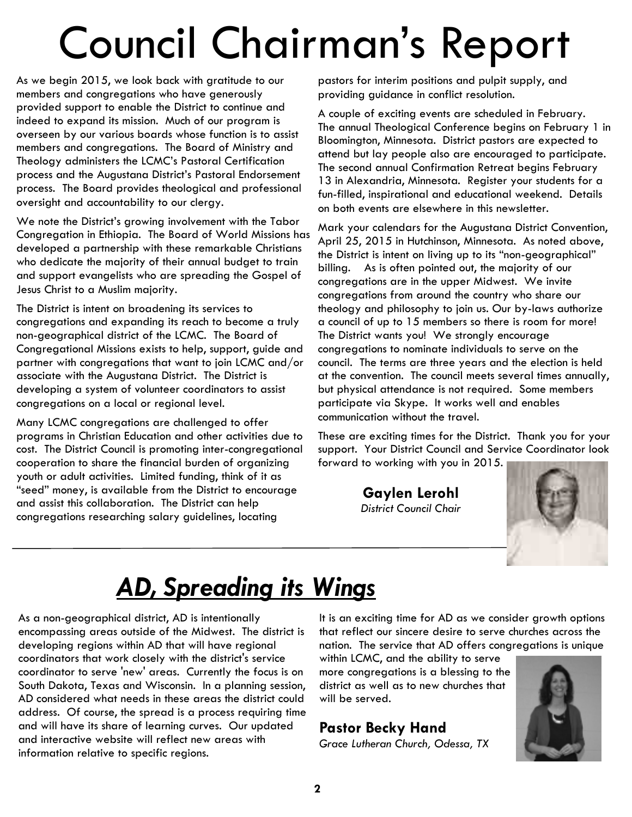# Council Chairman's Report

As we begin 2015, we look back with gratitude to our members and congregations who have generously provided support to enable the District to continue and indeed to expand its mission. Much of our program is overseen by our various boards whose function is to assist members and congregations. The Board of Ministry and Theology administers the LCMC's Pastoral Certification process and the Augustana District's Pastoral Endorsement process. The Board provides theological and professional oversight and accountability to our clergy.

We note the District's growing involvement with the Tabor Congregation in Ethiopia. The Board of World Missions has developed a partnership with these remarkable Christians who dedicate the majority of their annual budget to train and support evangelists who are spreading the Gospel of Jesus Christ to a Muslim majority.

The District is intent on broadening its services to congregations and expanding its reach to become a truly non-geographical district of the LCMC. The Board of Congregational Missions exists to help, support, guide and partner with congregations that want to join LCMC and/or associate with the Augustana District. The District is developing a system of volunteer coordinators to assist congregations on a local or regional level.

Many LCMC congregations are challenged to offer programs in Christian Education and other activities due to cost. The District Council is promoting inter-congregational cooperation to share the financial burden of organizing youth or adult activities. Limited funding, think of it as "seed" money, is available from the District to encourage and assist this collaboration. The District can help congregations researching salary guidelines, locating

pastors for interim positions and pulpit supply, and providing guidance in conflict resolution.

A couple of exciting events are scheduled in February. The annual Theological Conference begins on February 1 in Bloomington, Minnesota. District pastors are expected to attend but lay people also are encouraged to participate. The second annual Confirmation Retreat begins February 13 in Alexandria, Minnesota. Register your students for a fun-filled, inspirational and educational weekend. Details on both events are elsewhere in this newsletter.

Mark your calendars for the Augustana District Convention, April 25, 2015 in Hutchinson, Minnesota. As noted above, the District is intent on living up to its "non-geographical" billing. As is often pointed out, the majority of our congregations are in the upper Midwest. We invite congregations from around the country who share our theology and philosophy to join us. Our by-laws authorize a council of up to 15 members so there is room for more! The District wants you! We strongly encourage congregations to nominate individuals to serve on the council. The terms are three years and the election is held at the convention. The council meets several times annually, but physical attendance is not required. Some members participate via Skype. It works well and enables communication without the travel.

These are exciting times for the District. Thank you for your support. Your District Council and Service Coordinator look forward to working with you in 2015.

> **Gaylen Lerohl**  *District Council Chair*



# *AD, Spreading its Wings*

As a non-geographical district, AD is intentionally encompassing areas outside of the Midwest. The district is developing regions within AD that will have regional coordinators that work closely with the district's service coordinator to serve 'new' areas. Currently the focus is on South Dakota, Texas and Wisconsin. In a planning session, AD considered what needs in these areas the district could address. Of course, the spread is a process requiring time and will have its share of learning curves. Our updated and interactive website will reflect new areas with information relative to specific regions.

It is an exciting time for AD as we consider growth options that reflect our sincere desire to serve churches across the nation. The service that AD offers congregations is unique

within LCMC, and the ability to serve more congregations is a blessing to the district as well as to new churches that will be served.

#### **Pastor Becky Hand**

*Grace Lutheran Church, Odessa, TX* 

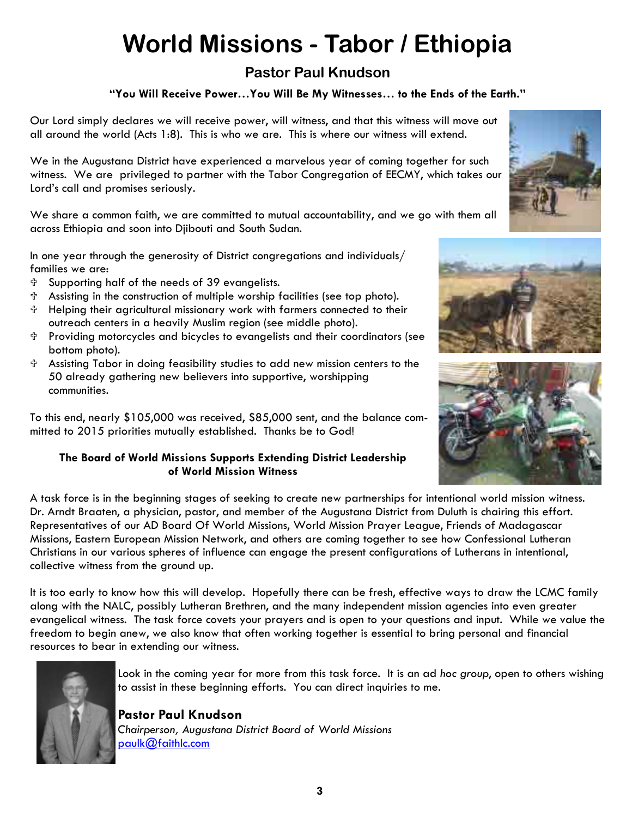# **World Missions - Tabor / Ethiopia**

### **Pastor Paul Knudson**

#### **"You Will Receive Power…You Will Be My Witnesses… to the Ends of the Earth."**

Our Lord simply declares we will receive power, will witness, and that this witness will move out all around the world (Acts 1:8). This is who we are. This is where our witness will extend.

We in the Augustana District have experienced a marvelous year of coming together for such witness. We are privileged to partner with the Tabor Congregation of EECMY, which takes our Lord's call and promises seriously.

We share a common faith, we are committed to mutual accountability, and we go with them all across Ethiopia and soon into Djibouti and South Sudan.

In one year through the generosity of District congregations and individuals/ families we are:

- Supporting half of the needs of 39 evangelists.
- Assisting in the construction of multiple worship facilities (see top photo).
- Helping their agricultural missionary work with farmers connected to their outreach centers in a heavily Muslim region (see middle photo).
- Providing motorcycles and bicycles to evangelists and their coordinators (see bottom photo).
- Assisting Tabor in doing feasibility studies to add new mission centers to the 50 already gathering new believers into supportive, worshipping communities.

To this end, nearly \$105,000 was received, \$85,000 sent, and the balance committed to 2015 priorities mutually established. Thanks be to God!

#### **The Board of World Missions Supports Extending District Leadership of World Mission Witness**

A task force is in the beginning stages of seeking to create new partnerships for intentional world mission witness. Dr. Arndt Braaten, a physician, pastor, and member of the Augustana District from Duluth is chairing this effort. Representatives of our AD Board Of World Missions, World Mission Prayer League, Friends of Madagascar Missions, Eastern European Mission Network, and others are coming together to see how Confessional Lutheran Christians in our various spheres of influence can engage the present configurations of Lutherans in intentional, collective witness from the ground up.

It is too early to know how this will develop. Hopefully there can be fresh, effective ways to draw the LCMC family along with the NALC, possibly Lutheran Brethren, and the many independent mission agencies into even greater evangelical witness. The task force covets your prayers and is open to your questions and input. While we value the freedom to begin anew, we also know that often working together is essential to bring personal and financial resources to bear in extending our witness.



Look in the coming year for more from this task force. It is an ad *hoc group*, open to others wishing to assist in these beginning efforts. You can direct inquiries to me.

**Pastor Paul Knudson**  *Chairperson, Augustana District Board of World Missions*  [paulk@faithlc.com](mailto:paulk@faithlc.com)





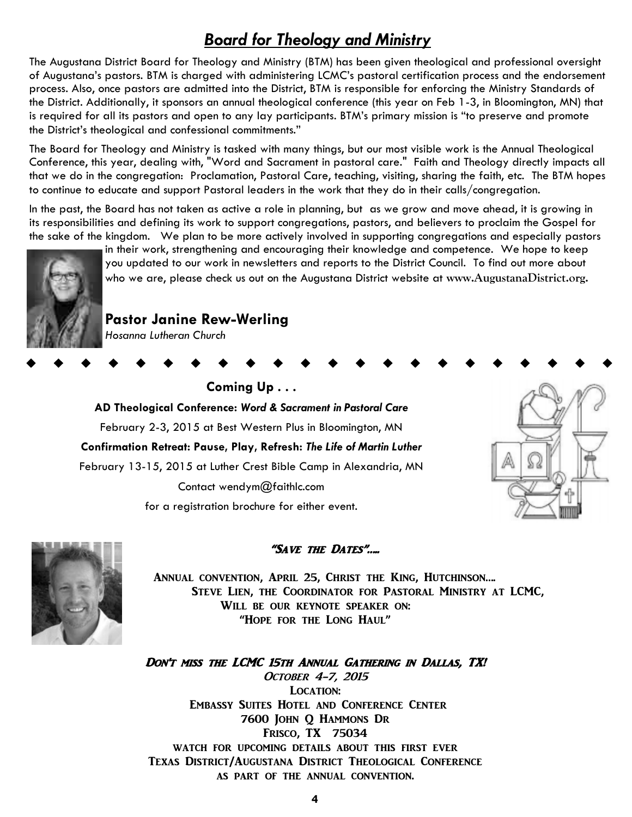# *Board for Theology and Ministry*

The Augustana District Board for Theology and Ministry (BTM) has been given theological and professional oversight of Augustana's pastors. BTM is charged with administering LCMC's pastoral certification process and the endorsement process. Also, once pastors are admitted into the District, BTM is responsible for enforcing the Ministry Standards of the District. Additionally, it sponsors an annual theological conference (this year on Feb 1-3, in Bloomington, MN) that is required for all its pastors and open to any lay participants. BTM's primary mission is "to preserve and promote the District's theological and confessional commitments."

The Board for Theology and Ministry is tasked with many things, but our most visible work is the Annual Theological Conference, this year, dealing with, "Word and Sacrament in pastoral care." Faith and Theology directly impacts all that we do in the congregation: Proclamation, Pastoral Care, teaching, visiting, sharing the faith, etc. The BTM hopes to continue to educate and support Pastoral leaders in the work that they do in their calls/congregation.

In the past, the Board has not taken as active a role in planning, but as we grow and move ahead, it is growing in its responsibilities and defining its work to support congregations, pastors, and believers to proclaim the Gospel for the sake of the kingdom. We plan to be more actively involved in supporting congregations and especially pastors



in their work, strengthening and encouraging their knowledge and competence. We hope to keep you updated to our work in newsletters and reports to the District Council. To find out more about who we are, please check us out on the Augustana District website at **www.AugustanaDistrict.org.** 

#### **Pastor Janine Rew-Werling**

*Hosanna Lutheran Church* 

# **Coming Up . . . AD Theological Conference:** *Word & Sacrament in Pastoral Care*  February 2-3, 2015 at Best Western Plus in Bloomington, MN **Confirmation Retreat: Pause, Play, Refresh:** *The Life of Martin Luther*  February 13-15, 2015 at Luther Crest Bible Camp in Alexandria, MN Contact wendym@faithlc.com for a registration brochure for either event.





#### "Save the Dates"…..

Annual convention, April 25, Christ the King, Hutchinson…. Steve Lien, the Coordinator for Pastoral Ministry at LCMC, WILL BE OUR KEYNOTE SPEAKER ON: "Hope for the Long Haul"

DON'T MISS THE LCMC 15TH ANNUAL GATHERING IN DALLAS, TX! OCTOBER 4-7, 2015 LOCATION: Embassy Suites Hotel and Conference Center 7600 John Q Hammons Dr Frisco, TX 75034 watch for upcoming details about this first ever Texas District/Augustana District Theological Conference as part of the annual convention.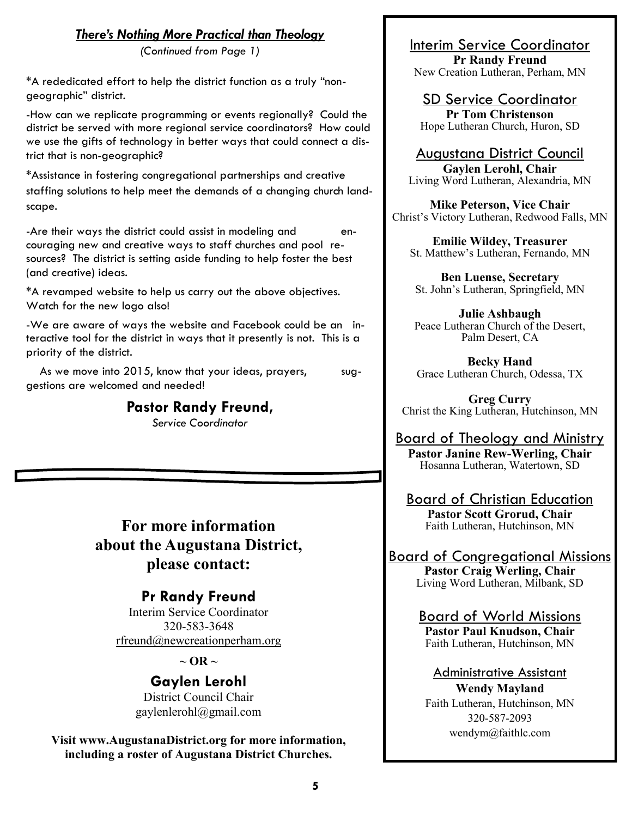#### *There's Nothing More Practical than Theology*

*(Continued from Page 1)* 

\*A rededicated effort to help the district function as a truly "nongeographic" district.

-How can we replicate programming or events regionally? Could the district be served with more regional service coordinators? How could we use the gifts of technology in better ways that could connect a district that is non-geographic?

\*Assistance in fostering congregational partnerships and creative staffing solutions to help meet the demands of a changing church landscape.

-Are their ways the district could assist in modeling and encouraging new and creative ways to staff churches and pool resources? The district is setting aside funding to help foster the best (and creative) ideas.

\*A revamped website to help us carry out the above objectives. Watch for the new logo also!

-We are aware of ways the website and Facebook could be an interactive tool for the district in ways that it presently is not. This is a priority of the district.

As we move into 2015, know that your ideas, prayers, suggestions are welcomed and needed!

#### **Pastor Randy Freund,**

*Service Coordinator* 

**For more information about the Augustana District, please contact:**

## **Pr Randy Freund**

Interim Service Coordinator 320-583-3648 [rfreund@newcreationperham.org](mailto:rfreund@newcreationperham.org)

 $\sim$  OR  $\sim$ 

**Gaylen Lerohl**  District Council Chair gaylenlerohl@gmail.com

**Visit www.AugustanaDistrict.org for more information, including a roster of Augustana District Churches.**

## Interim Service Coordinator

**Pr Randy Freund** New Creation Lutheran, Perham, MN

SD Service Coordinator **Pr Tom Christenson** Hope Lutheran Church, Huron, SD

Augustana District Council **Gaylen Lerohl, Chair** Living Word Lutheran, Alexandria, MN

**Mike Peterson, Vice Chair** Christ's Victory Lutheran, Redwood Falls, MN

**Emilie Wildey, Treasurer** St. Matthew's Lutheran, Fernando, MN

**Ben Luense, Secretary** St. John's Lutheran, Springfield, MN

**Julie Ashbaugh** Peace Lutheran Church of the Desert, Palm Desert, CA

**Becky Hand** Grace Lutheran Church, Odessa, TX

**Greg Curry** Christ the King Lutheran, Hutchinson, MN

Board of Theology and Ministry **Pastor Janine Rew-Werling, Chair** Hosanna Lutheran, Watertown, SD

Board of Christian Education **Pastor Scott Grorud, Chair** Faith Lutheran, Hutchinson, MN

Board of Congregational Missions **Pastor Craig Werling, Chair** Living Word Lutheran, Milbank, SD

> Board of World Missions **Pastor Paul Knudson, Chair** Faith Lutheran, Hutchinson, MN

Administrative Assistant

**Wendy Mayland** Faith Lutheran, Hutchinson, MN 320-587-2093 wendym@faithlc.com